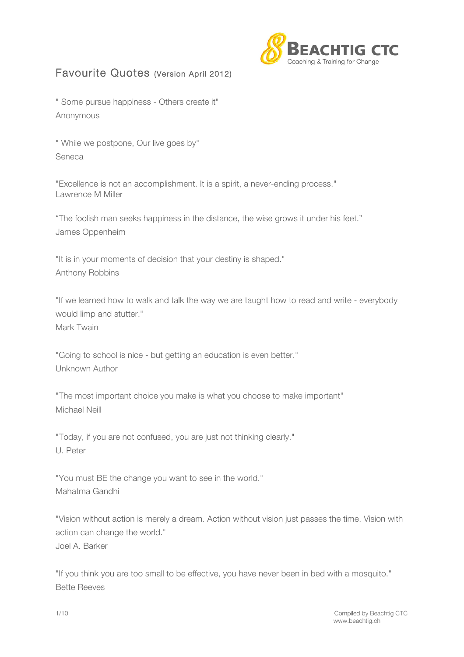

## Favourite Quotes (Version April 2012)

" Some pursue happiness - Others create it" Anonymous

" While we postpone, Our live goes by" Seneca

"Excellence is not an accomplishment. It is a spirit, a never-ending process." Lawrence M Miller

"The foolish man seeks happiness in the distance, the wise grows it under his feet." James Oppenheim

"It is in your moments of decision that your destiny is shaped." Anthony Robbins

"If we learned how to walk and talk the way we are taught how to read and write - everybody would limp and stutter." Mark Twain

"Going to school is nice - but getting an education is even better." Unknown Author

"The most important choice you make is what you choose to make important" Michael Neill

"Today, if you are not confused, you are just not thinking clearly." U. Peter

"You must BE the change you want to see in the world." Mahatma Gandhi

"Vision without action is merely a dream. Action without vision just passes the time. Vision with action can change the world." Joel A. Barker

"If you think you are too small to be effective, you have never been in bed with a mosquito." Bette Reeves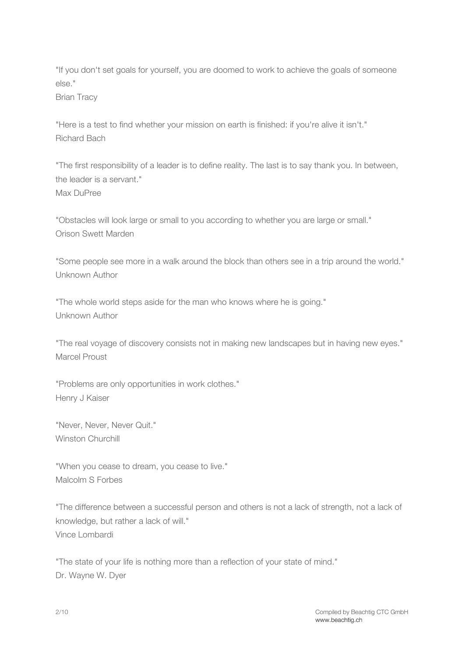"If you don't set goals for yourself, you are doomed to work to achieve the goals of someone else."

Brian Tracy

"Here is a test to find whether your mission on earth is finished: if you're alive it isn't." Richard Bach

"The first responsibility of a leader is to define reality. The last is to say thank you. In between, the leader is a servant." Max DuPree

"Obstacles will look large or small to you according to whether you are large or small." Orison Swett Marden

"Some people see more in a walk around the block than others see in a trip around the world." Unknown Author

"The whole world steps aside for the man who knows where he is going." Unknown Author

"The real voyage of discovery consists not in making new landscapes but in having new eyes." Marcel Proust

"Problems are only opportunities in work clothes." Henry J Kaiser

"Never, Never, Never Quit." Winston Churchill

"When you cease to dream, you cease to live." Malcolm S Forbes

"The difference between a successful person and others is not a lack of strength, not a lack of knowledge, but rather a lack of will." Vince Lombardi

"The state of your life is nothing more than a reflection of your state of mind." Dr. Wayne W. Dyer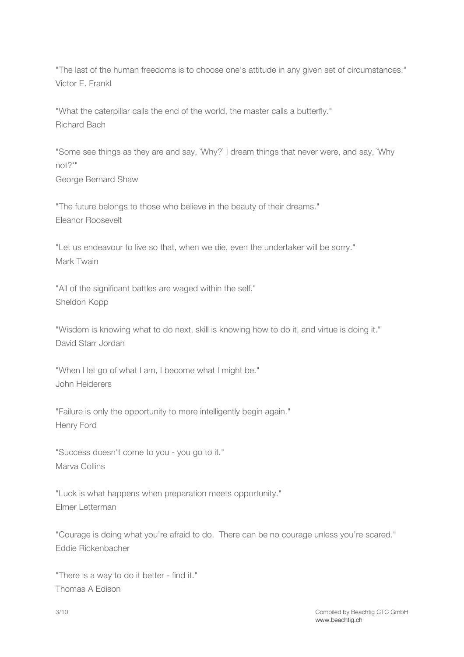"The last of the human freedoms is to choose one's attitude in any given set of circumstances." Victor E. Frankl

"What the caterpillar calls the end of the world, the master calls a butterfly." Richard Bach

"Some see things as they are and say, `Why?` I dream things that never were, and say, `Why not?'"

George Bernard Shaw

"The future belongs to those who believe in the beauty of their dreams." Eleanor Roosevelt

"Let us endeavour to live so that, when we die, even the undertaker will be sorry." Mark Twain

"All of the significant battles are waged within the self." Sheldon Kopp

"Wisdom is knowing what to do next, skill is knowing how to do it, and virtue is doing it." David Starr Jordan

"When I let go of what I am, I become what I might be." John Heiderers

"Failure is only the opportunity to more intelligently begin again." Henry Ford

"Success doesn't come to you - you go to it." Marva Collins

"Luck is what happens when preparation meets opportunity." Elmer Letterman

"Courage is doing what you're afraid to do. There can be no courage unless you're scared." Eddie Rickenbacher

"There is a way to do it better - find it." Thomas A Edison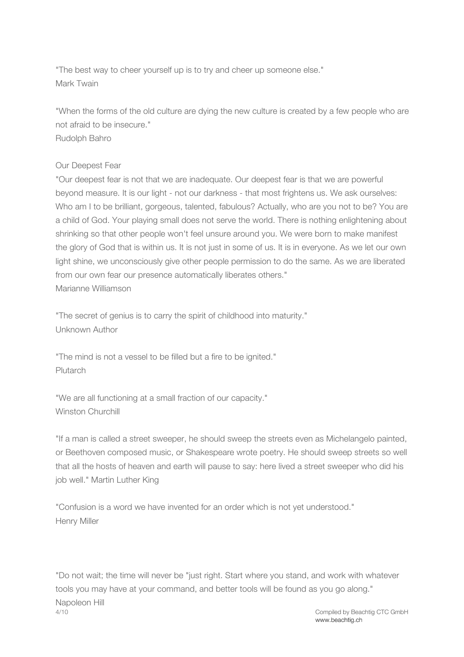"The best way to cheer yourself up is to try and cheer up someone else." Mark Twain

"When the forms of the old culture are dying the new culture is created by a few people who are not afraid to be insecure." Rudolph Bahro

## Our Deepest Fear

"Our deepest fear is not that we are inadequate. Our deepest fear is that we are powerful beyond measure. It is our light - not our darkness - that most frightens us. We ask ourselves: Who am I to be brilliant, gorgeous, talented, fabulous? Actually, who are you not to be? You are a child of God. Your playing small does not serve the world. There is nothing enlightening about shrinking so that other people won't feel unsure around you. We were born to make manifest the glory of God that is within us. It is not just in some of us. It is in everyone. As we let our own light shine, we unconsciously give other people permission to do the same. As we are liberated from our own fear our presence automatically liberates others." Marianne Williamson

"The secret of genius is to carry the spirit of childhood into maturity." Unknown Author

"The mind is not a vessel to be filled but a fire to be ignited." Plutarch

"We are all functioning at a small fraction of our capacity." Winston Churchill

"If a man is called a street sweeper, he should sweep the streets even as Michelangelo painted, or Beethoven composed music, or Shakespeare wrote poetry. He should sweep streets so well that all the hosts of heaven and earth will pause to say: here lived a street sweeper who did his job well." Martin Luther King

"Confusion is a word we have invented for an order which is not yet understood." Henry Miller

4/10 Compiled by Beachtig CTC GmbH "Do not wait; the time will never be "just right. Start where you stand, and work with whatever tools you may have at your command, and better tools will be found as you go along." Napoleon Hill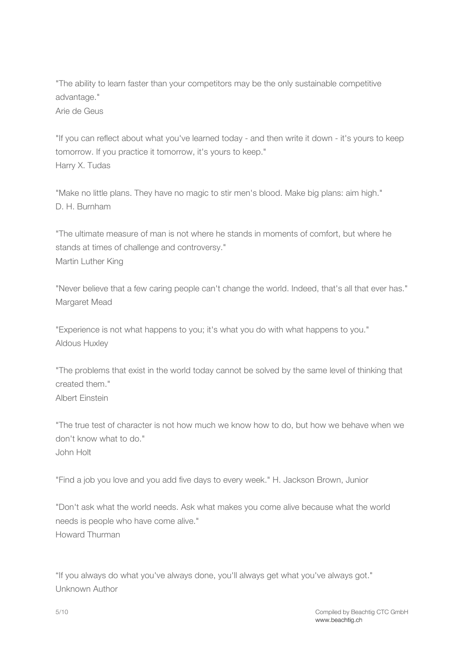"The ability to learn faster than your competitors may be the only sustainable competitive advantage."

Arie de Geus

"If you can reflect about what you've learned today - and then write it down - it's yours to keep tomorrow. If you practice it tomorrow, it's yours to keep." Harry X. Tudas

"Make no little plans. They have no magic to stir men's blood. Make big plans: aim high." D. H. Burnham

"The ultimate measure of man is not where he stands in moments of comfort, but where he stands at times of challenge and controversy." Martin Luther King

"Never believe that a few caring people can't change the world. Indeed, that's all that ever has." Margaret Mead

"Experience is not what happens to you; it's what you do with what happens to you." Aldous Huxley

"The problems that exist in the world today cannot be solved by the same level of thinking that created them." Albert Einstein

"The true test of character is not how much we know how to do, but how we behave when we don't know what to do." John Holt

"Find a job you love and you add five days to every week." H. Jackson Brown, Junior

"Don't ask what the world needs. Ask what makes you come alive because what the world needs is people who have come alive." Howard Thurman

"If you always do what you've always done, you'll always get what you've always got." Unknown Author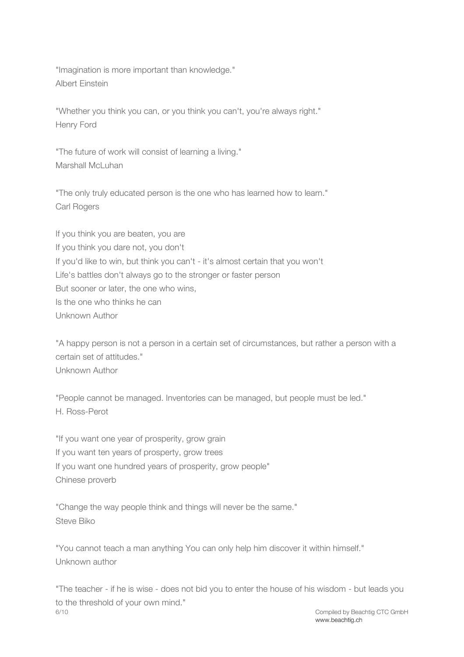"Imagination is more important than knowledge." Albert Einstein

"Whether you think you can, or you think you can't, you're always right." Henry Ford

"The future of work will consist of learning a living." Marshall McLuhan

"The only truly educated person is the one who has learned how to learn." Carl Rogers

If you think you are beaten, you are If you think you dare not, you don't If you'd like to win, but think you can't - it's almost certain that you won't Life's battles don't always go to the stronger or faster person But sooner or later, the one who wins, Is the one who thinks he can Unknown Author

"A happy person is not a person in a certain set of circumstances, but rather a person with a certain set of attitudes." Unknown Author

"People cannot be managed. Inventories can be managed, but people must be led." H. Ross-Perot

"If you want one year of prosperity, grow grain If you want ten years of prosperty, grow trees If you want one hundred years of prosperity, grow people" Chinese proverb

"Change the way people think and things will never be the same." Steve Biko

"You cannot teach a man anything You can only help him discover it within himself." Unknown author

6/10 Compiled by Beachtig CTC GmbH "The teacher - if he is wise - does not bid you to enter the house of his wisdom - but leads you to the threshold of your own mind."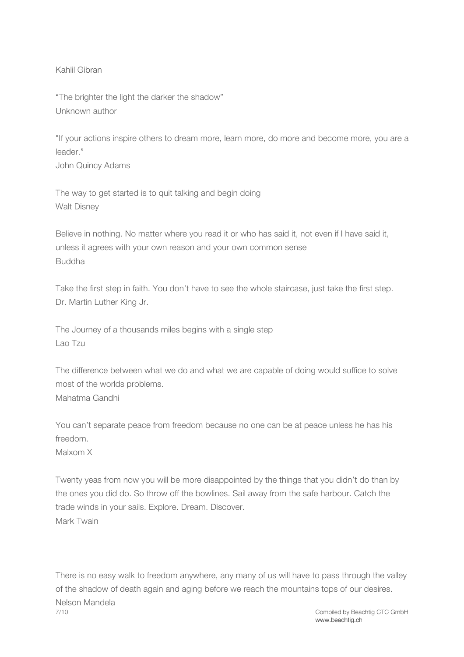Kahlil Gibran

"The brighter the light the darker the shadow" Unknown author

"If your actions inspire others to dream more, learn more, do more and become more, you are a leader."

John Quincy Adams

The way to get started is to quit talking and begin doing Walt Disney

Believe in nothing. No matter where you read it or who has said it, not even if I have said it, unless it agrees with your own reason and your own common sense Buddha

Take the first step in faith. You don't have to see the whole staircase, just take the first step. Dr. Martin Luther King Jr.

The Journey of a thousands miles begins with a single step Lao Tzu

The difference between what we do and what we are capable of doing would suffice to solve most of the worlds problems. Mahatma Gandhi

You can't separate peace from freedom because no one can be at peace unless he has his freedom.

Malxom X

Twenty yeas from now you will be more disappointed by the things that you didn't do than by the ones you did do. So throw off the bowlines. Sail away from the safe harbour. Catch the trade winds in your sails. Explore. Dream. Discover. Mark Twain

7/10 Compiled by Beachtig CTC GmbH There is no easy walk to freedom anywhere, any many of us will have to pass through the valley of the shadow of death again and aging before we reach the mountains tops of our desires. Nelson Mandela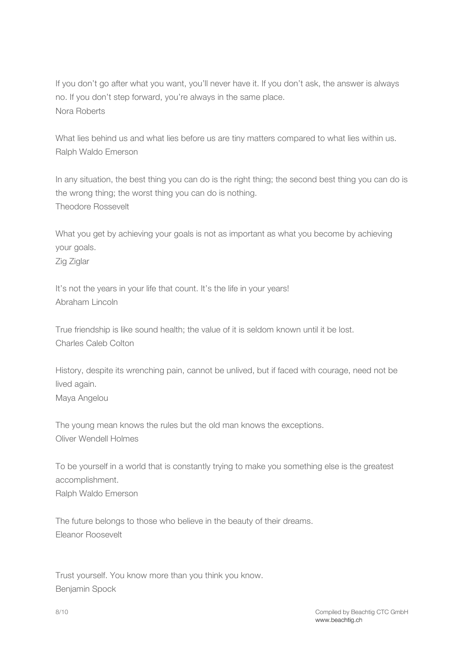If you don't go after what you want, you'll never have it. If you don't ask, the answer is always no. If you don't step forward, you're always in the same place. Nora Roberts

What lies behind us and what lies before us are tiny matters compared to what lies within us. Ralph Waldo Emerson

In any situation, the best thing you can do is the right thing; the second best thing you can do is the wrong thing; the worst thing you can do is nothing. Theodore Rossevelt

What you get by achieving your goals is not as important as what you become by achieving your goals. Zig Ziglar

It's not the years in your life that count. It's the life in your years! Abraham Lincoln

True friendship is like sound health; the value of it is seldom known until it be lost. Charles Caleb Colton

History, despite its wrenching pain, cannot be unlived, but if faced with courage, need not be lived again. Maya Angelou

The young mean knows the rules but the old man knows the exceptions. Oliver Wendell Holmes

To be yourself in a world that is constantly trying to make you something else is the greatest accomplishment.

Ralph Waldo Emerson

The future belongs to those who believe in the beauty of their dreams. Eleanor Roosevelt

Trust yourself. You know more than you think you know. Benjamin Spock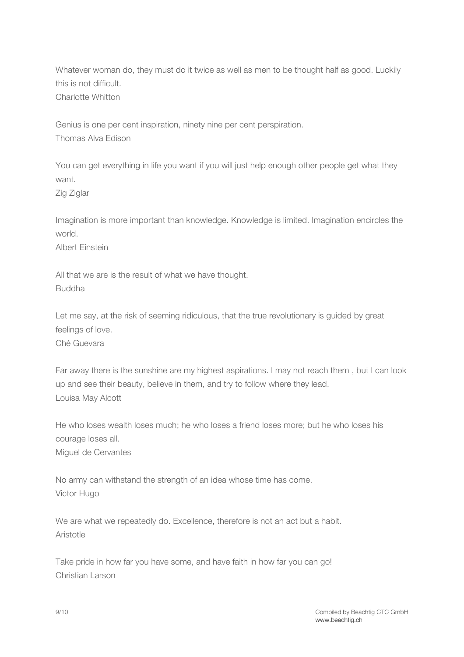Whatever woman do, they must do it twice as well as men to be thought half as good. Luckily this is not difficult. Charlotte Whitton

Genius is one per cent inspiration, ninety nine per cent perspiration. Thomas Alva Edison

You can get everything in life you want if you will just help enough other people get what they want. Zig Ziglar

Imagination is more important than knowledge. Knowledge is limited. Imagination encircles the world. Albert Einstein

All that we are is the result of what we have thought. Buddha

Let me say, at the risk of seeming ridiculous, that the true revolutionary is guided by great feelings of love.

Ché Guevara

Far away there is the sunshine are my highest aspirations. I may not reach them , but I can look up and see their beauty, believe in them, and try to follow where they lead. Louisa May Alcott

He who loses wealth loses much; he who loses a friend loses more; but he who loses his courage loses all.

Miguel de Cervantes

No army can withstand the strength of an idea whose time has come. Victor Hugo

We are what we repeatedly do. Excellence, therefore is not an act but a habit. Aristotle

Take pride in how far you have some, and have faith in how far you can go! Christian Larson